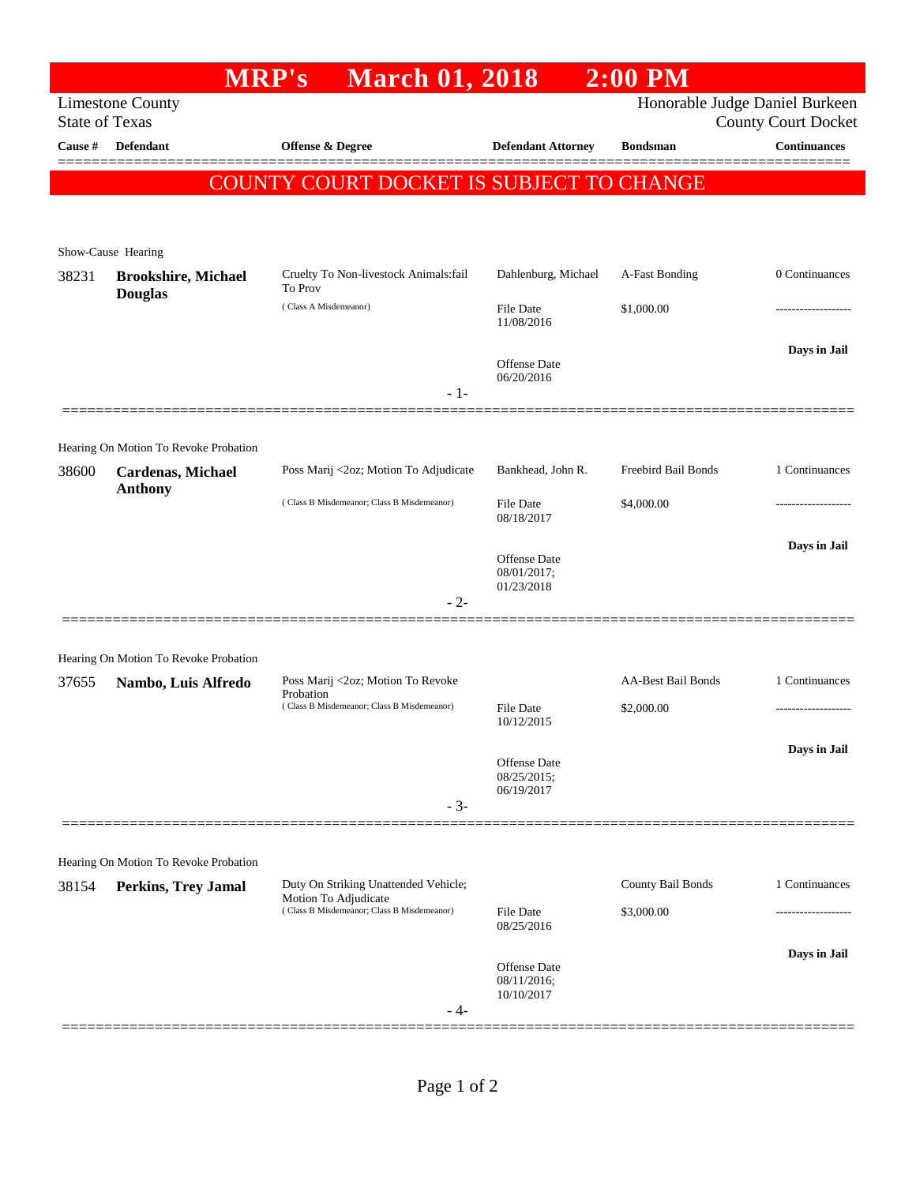|                                                                                                                  |                                              | <b>MRP's</b>                                                                                               | <b>March 01, 2018</b>          |                                   | $2:00$ PM                 |                     |
|------------------------------------------------------------------------------------------------------------------|----------------------------------------------|------------------------------------------------------------------------------------------------------------|--------------------------------|-----------------------------------|---------------------------|---------------------|
| Honorable Judge Daniel Burkeen<br><b>Limestone County</b><br><b>State of Texas</b><br><b>County Court Docket</b> |                                              |                                                                                                            |                                |                                   |                           |                     |
| Cause #                                                                                                          | <b>Defendant</b>                             | Offense & Degree                                                                                           |                                | <b>Defendant Attorney</b>         | <b>Bondsman</b>           | <b>Continuances</b> |
|                                                                                                                  |                                              | COUNTY COURT DOCKET IS SUBJECT TO CHANGE                                                                   |                                |                                   |                           |                     |
|                                                                                                                  |                                              |                                                                                                            |                                |                                   |                           |                     |
|                                                                                                                  | Show-Cause Hearing                           |                                                                                                            |                                |                                   |                           |                     |
| 38231                                                                                                            | <b>Brookshire, Michael</b><br><b>Douglas</b> | Cruelty To Non-livestock Animals: fail<br>To Prov<br>(Class A Misdemeanor)                                 | Dahlenburg, Michael            | A-Fast Bonding                    | 0 Continuances            |                     |
|                                                                                                                  |                                              |                                                                                                            | File Date<br>11/08/2016        | \$1,000.00                        |                           |                     |
|                                                                                                                  |                                              |                                                                                                            |                                | <b>Offense Date</b><br>06/20/2016 |                           | Days in Jail        |
|                                                                                                                  |                                              |                                                                                                            | - 1-                           |                                   |                           |                     |
|                                                                                                                  | Hearing On Motion To Revoke Probation        |                                                                                                            |                                |                                   |                           |                     |
| 38600                                                                                                            | <b>Cardenas, Michael</b><br><b>Anthony</b>   | Poss Marij <2oz; Motion To Adjudicate                                                                      |                                | Bankhead, John R.                 | Freebird Bail Bonds       | 1 Continuances      |
|                                                                                                                  |                                              | (Class B Misdemeanor; Class B Misdemeanor)                                                                 |                                | <b>File Date</b><br>08/18/2017    | \$4,000.00                |                     |
|                                                                                                                  |                                              |                                                                                                            |                                | <b>Offense Date</b>               |                           | Days in Jail        |
|                                                                                                                  |                                              |                                                                                                            |                                | 08/01/2017;<br>01/23/2018         |                           |                     |
|                                                                                                                  |                                              |                                                                                                            | $-2-$                          |                                   |                           |                     |
|                                                                                                                  | Hearing On Motion To Revoke Probation        |                                                                                                            |                                |                                   |                           |                     |
| 37655                                                                                                            | Nambo, Luis Alfredo                          | Poss Marij <2oz; Motion To Revoke<br>Probation                                                             |                                |                                   | <b>AA-Best Bail Bonds</b> | 1 Continuances      |
|                                                                                                                  |                                              | (Class B Misdemeanor; Class B Misdemeanor)                                                                 | <b>File Date</b><br>10/12/2015 | \$2,000.00                        |                           |                     |
|                                                                                                                  |                                              |                                                                                                            |                                | Offense Date                      |                           | Days in Jail        |
|                                                                                                                  |                                              |                                                                                                            |                                | 08/25/2015;<br>06/19/2017         |                           |                     |
|                                                                                                                  |                                              |                                                                                                            | $-3-$                          |                                   |                           |                     |
|                                                                                                                  | Hearing On Motion To Revoke Probation        |                                                                                                            |                                |                                   |                           |                     |
| 38154                                                                                                            | <b>Perkins, Trey Jamal</b>                   | Duty On Striking Unattended Vehicle;<br>Motion To Adjudicate<br>(Class B Misdemeanor; Class B Misdemeanor) |                                | County Bail Bonds                 | 1 Continuances            |                     |
|                                                                                                                  |                                              |                                                                                                            | File Date<br>08/25/2016        | \$3,000.00                        |                           |                     |
|                                                                                                                  |                                              |                                                                                                            |                                | <b>Offense Date</b>               |                           | Days in Jail        |
|                                                                                                                  |                                              |                                                                                                            | - 4-                           | 08/11/2016;<br>10/10/2017         |                           |                     |
|                                                                                                                  |                                              |                                                                                                            |                                |                                   |                           |                     |